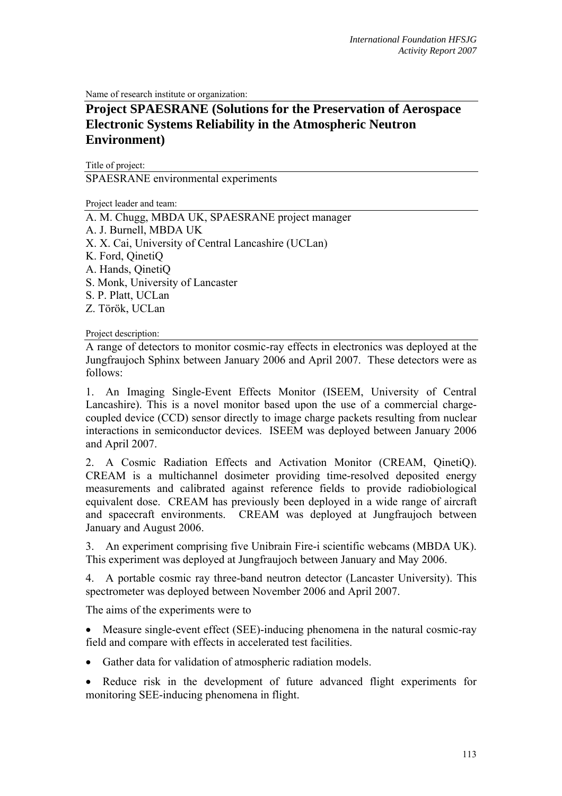Name of research institute or organization:

## **Project SPAESRANE (Solutions for the Preservation of Aerospace Electronic Systems Reliability in the Atmospheric Neutron Environment)**

Title of project: SPAESRANE environmental experiments

Project leader and team:

A. M. Chugg, MBDA UK, SPAESRANE project manager A. J. Burnell, MBDA UK X. X. Cai, University of Central Lancashire (UCLan) K. Ford, QinetiQ A. Hands, QinetiQ S. Monk, University of Lancaster S. P. Platt, UCLan Z. Török, UCLan

Project description:

A range of detectors to monitor cosmic-ray effects in electronics was deployed at the Jungfraujoch Sphinx between January 2006 and April 2007. These detectors were as follows:

1. An Imaging Single-Event Effects Monitor (ISEEM, University of Central Lancashire). This is a novel monitor based upon the use of a commercial chargecoupled device (CCD) sensor directly to image charge packets resulting from nuclear interactions in semiconductor devices. ISEEM was deployed between January 2006 and April 2007.

2. A Cosmic Radiation Effects and Activation Monitor (CREAM, QinetiQ). CREAM is a multichannel dosimeter providing time-resolved deposited energy measurements and calibrated against reference fields to provide radiobiological equivalent dose. CREAM has previously been deployed in a wide range of aircraft and spacecraft environments. CREAM was deployed at Jungfraujoch between January and August 2006.

3. An experiment comprising five Unibrain Fire-i scientific webcams (MBDA UK). This experiment was deployed at Jungfraujoch between January and May 2006.

4. A portable cosmic ray three-band neutron detector (Lancaster University). This spectrometer was deployed between November 2006 and April 2007.

The aims of the experiments were to

• Measure single-event effect (SEE)-inducing phenomena in the natural cosmic-ray field and compare with effects in accelerated test facilities.

- Gather data for validation of atmospheric radiation models.
- Reduce risk in the development of future advanced flight experiments for monitoring SEE-inducing phenomena in flight.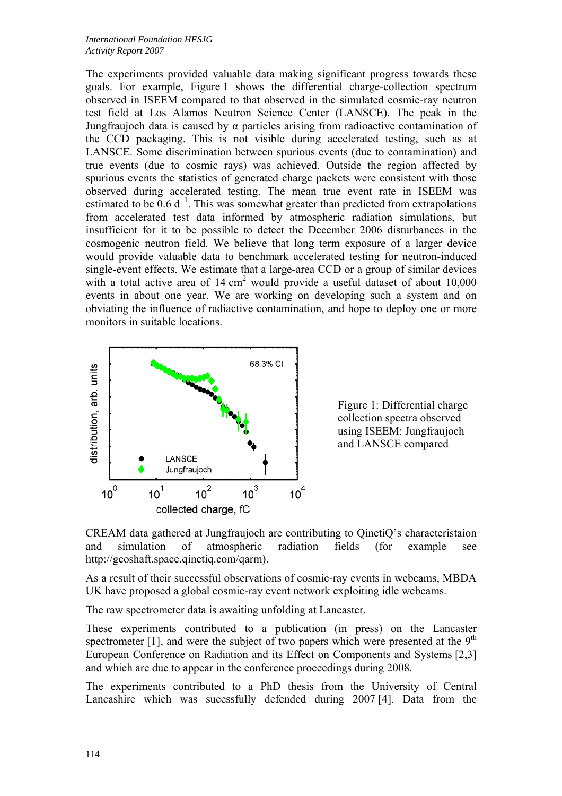The experiments provided valuable data making significant progress towards these goals. For example, Figure 1 shows the differential charge-collection spectrum observed in ISEEM compared to that observed in the simulated cosmic-ray neutron test field at Los Alamos Neutron Science Center (LANSCE). The peak in the Jungfraujoch data is caused by α particles arising from radioactive contamination of the CCD packaging. This is not visible during accelerated testing, such as at LANSCE. Some discrimination between spurious events (due to contamination) and true events (due to cosmic rays) was achieved. Outside the region affected by spurious events the statistics of generated charge packets were consistent with those observed during accelerated testing. The mean true event rate in ISEEM was estimated to be  $0.6 d^{-1}$ . This was somewhat greater than predicted from extrapolations from accelerated test data informed by atmospheric radiation simulations, but insufficient for it to be possible to detect the December 2006 disturbances in the cosmogenic neutron field. We believe that long term exposure of a larger device would provide valuable data to benchmark accelerated testing for neutron-induced single-event effects. We estimate that a large-area CCD or a group of similar devices with a total active area of  $14 \text{ cm}^2$  would provide a useful dataset of about  $10,000$ events in about one year. We are working on developing such a system and on obviating the influence of radiactive contamination, and hope to deploy one or more monitors in suitable locations.





CREAM data gathered at Jungfraujoch are contributing to QinetiQ's characteristaion and simulation of atmospheric radiation fields (for example see http://geoshaft.space.qinetiq.com/qarm).

As a result of their successful observations of cosmic-ray events in webcams, MBDA UK have proposed a global cosmic-ray event network exploiting idle webcams.

The raw spectrometer data is awaiting unfolding at Lancaster.

These experiments contributed to a publication (in press) on the Lancaster spectrometer [1], and were the subject of two papers which were presented at the  $9<sup>th</sup>$ European Conference on Radiation and its Effect on Components and Systems [2,3] and which are due to appear in the conference proceedings during 2008.

The experiments contributed to a PhD thesis from the University of Central Lancashire which was sucessfully defended during 2007 [4]. Data from the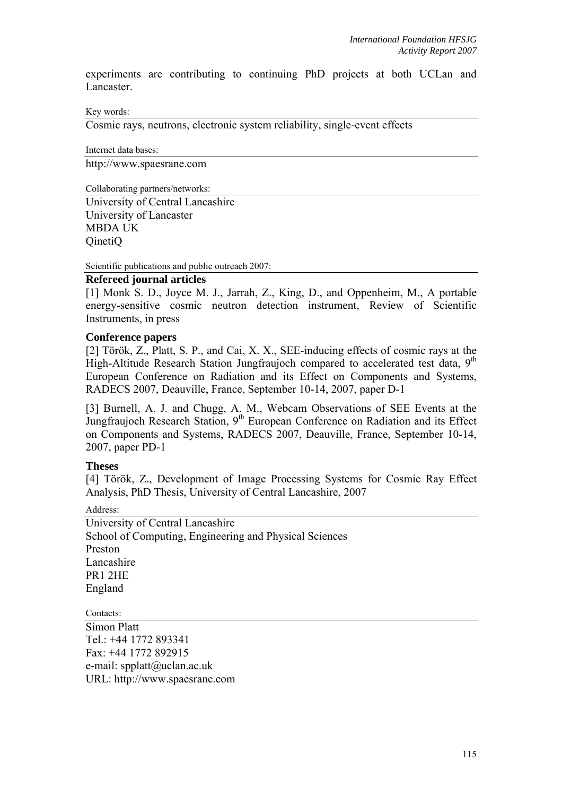experiments are contributing to continuing PhD projects at both UCLan and Lancaster.

Key words:

Cosmic rays, neutrons, electronic system reliability, single-event effects

Internet data bases: http://www.spaesrane.com

Collaborating partners/networks:

University of Central Lancashire University of Lancaster MBDA UK QinetiQ

Scientific publications and public outreach 2007:

## **Refereed journal articles**

[1] Monk S. D., Joyce M. J., Jarrah, Z., King, D., and Oppenheim, M., A portable energy-sensitive cosmic neutron detection instrument, Review of Scientific Instruments, in press

## **Conference papers**

[2] Török, Z., Platt, S. P., and Cai, X. X., SEE-inducing effects of cosmic rays at the High-Altitude Research Station Jungfraujoch compared to accelerated test data,  $9<sup>th</sup>$ European Conference on Radiation and its Effect on Components and Systems, RADECS 2007, Deauville, France, September 10-14, 2007, paper D-1

[3] Burnell, A. J. and Chugg, A. M., Webcam Observations of SEE Events at the Jungfraujoch Research Station, 9<sup>th</sup> European Conference on Radiation and its Effect on Components and Systems, RADECS 2007, Deauville, France, September 10-14, 2007, paper PD-1

## **Theses**

[4] Török, Z., Development of Image Processing Systems for Cosmic Ray Effect Analysis, PhD Thesis, University of Central Lancashire, 2007

Address:

University of Central Lancashire School of Computing, Engineering and Physical Sciences Preston Lancashire PR1 2HE England

Contacts:

Simon Platt Tel.:  $+44$  1772 893341 Fax: +44 1772 892915 e-mail: spplatt@uclan.ac.uk URL: http://www.spaesrane.com